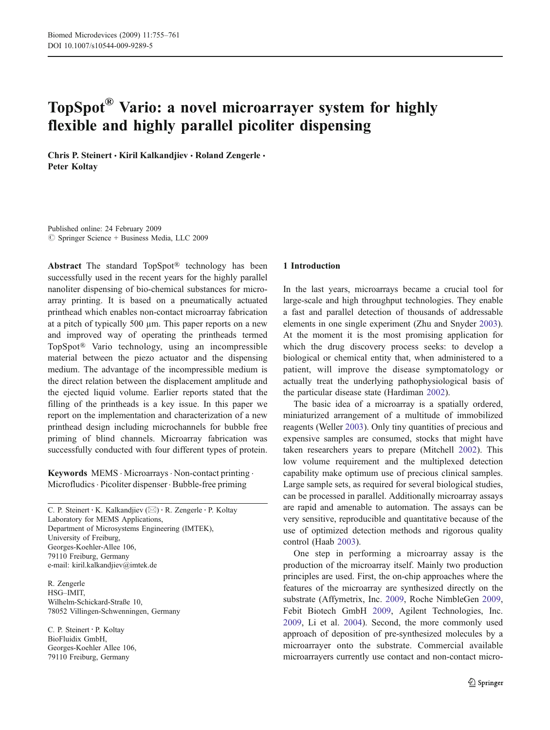# TopSpot® Vario: a novel microarrayer system for highly flexible and highly parallel picoliter dispensing

Chris P. Steinert · Kiril Kalkandjiev · Roland Zengerle · Peter Koltay

Published online: 24 February 2009  $\circledcirc$  Springer Science + Business Media, LLC 2009

Abstract The standard TopSpot® technology has been successfully used in the recent years for the highly parallel nanoliter dispensing of bio-chemical substances for microarray printing. It is based on a pneumatically actuated printhead which enables non-contact microarray fabrication at a pitch of typically 500 µm. This paper reports on a new and improved way of operating the printheads termed TopSpot® Vario technology, using an incompressible material between the piezo actuator and the dispensing medium. The advantage of the incompressible medium is the direct relation between the displacement amplitude and the ejected liquid volume. Earlier reports stated that the filling of the printheads is a key issue. In this paper we report on the implementation and characterization of a new printhead design including microchannels for bubble free priming of blind channels. Microarray fabrication was successfully conducted with four different types of protein.

Keywords MEMS · Microarrays · Non-contact printing · Microfludics · Picoliter dispenser · Bubble-free priming

C. P. Steinert : K. Kalkandjiev (*\**) : R. Zengerle : P. Koltay Laboratory for MEMS Applications, Department of Microsystems Engineering (IMTEK), University of Freiburg, Georges-Koehler-Allee 106, 79110 Freiburg, Germany e-mail: kiril.kalkandjiev@imtek.de

R. Zengerle HSG–IMIT, Wilhelm-Schickard-Straße 10, 78052 Villingen-Schwenningen, Germany

C. P. Steinert : P. Koltay BioFluidix GmbH, Georges-Koehler Allee 106, 79110 Freiburg, Germany

## 1 Introduction

In the last years, microarrays became a crucial tool for large-scale and high throughput technologies. They enable a fast and parallel detection of thousands of addressable elements in one single experiment (Zhu and Snyder [2003](#page-6-0)). At the moment it is the most promising application for which the drug discovery process seeks: to develop a biological or chemical entity that, when administered to a patient, will improve the disease symptomatology or actually treat the underlying pathophysiological basis of the particular disease state (Hardiman [2002](#page-6-0)).

The basic idea of a microarray is a spatially ordered, miniaturized arrangement of a multitude of immobilized reagents (Weller [2003\)](#page-6-0). Only tiny quantities of precious and expensive samples are consumed, stocks that might have taken researchers years to prepare (Mitchell [2002\)](#page-6-0). This low volume requirement and the multiplexed detection capability make optimum use of precious clinical samples. Large sample sets, as required for several biological studies, can be processed in parallel. Additionally microarray assays are rapid and amenable to automation. The assays can be very sensitive, reproducible and quantitative because of the use of optimized detection methods and rigorous quality control (Haab [2003](#page-6-0)).

One step in performing a microarray assay is the production of the microarray itself. Mainly two production principles are used. First, the on-chip approaches where the features of the microarray are synthesized directly on the substrate (Affymetrix, Inc. [2009,](#page-6-0) Roche NimbleGen [2009](#page-6-0), Febit Biotech GmbH [2009,](#page-6-0) Agilent Technologies, Inc. [2009,](#page-6-0) Li et al. [2004](#page-6-0)). Second, the more commonly used approach of deposition of pre-synthesized molecules by a microarrayer onto the substrate. Commercial available microarrayers currently use contact and non-contact micro-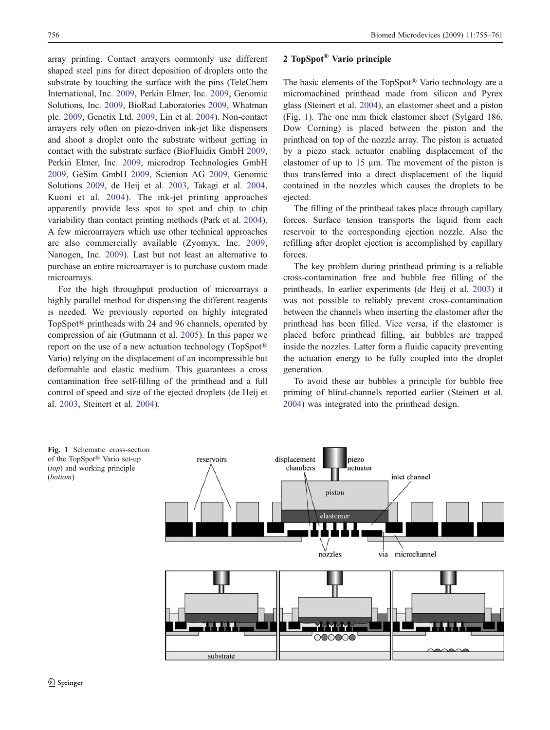array printing. Contact arrayers commonly use different shaped steel pins for direct deposition of droplets onto the substrate by touching the surface with the pins (TeleChem International, Inc. [2009,](#page-6-0) Perkin Elmer, Inc. [2009,](#page-6-0) Genomic Solutions, Inc. [2009](#page-6-0), BioRad Laboratories [2009,](#page-6-0) Whatman plc. [2009](#page-6-0), Genetix Ltd. [2009,](#page-6-0) Lin et al. [2004](#page-6-0)). Non-contact arrayers rely often on piezo-driven ink-jet like dispensers and shoot a droplet onto the substrate without getting in contact with the substrate surface (BioFluidix GmbH [2009](#page-6-0), Perkin Elmer, Inc. [2009,](#page-6-0) microdrop Technologies GmbH [2009,](#page-6-0) GeSim GmbH [2009,](#page-6-0) Scienion AG [2009,](#page-6-0) Genomic Solutions [2009](#page-6-0), de Heij et al. [2003](#page-6-0), Takagi et al. [2004](#page-6-0), Kuoni et al. [2004](#page-6-0)). The ink-jet printing approaches apparently provide less spot to spot and chip to chip variability than contact printing methods (Park et al. [2004](#page-6-0)). A few microarrayers which use other technical approaches are also commercially available (Zyomyx, Inc. [2009](#page-6-0), Nanogen, Inc. [2009\)](#page-6-0). Last but not least an alternative to purchase an entire microarrayer is to purchase custom made microarrays.

For the high throughput production of microarrays a highly parallel method for dispensing the different reagents is needed. We previously reported on highly integrated TopSpot® printheads with 24 and 96 channels, operated by compression of air (Gutmann et al. [2005\)](#page-6-0). In this paper we report on the use of a new actuation technology (TopSpot® Vario) relying on the displacement of an incompressible but deformable and elastic medium. This guarantees a cross contamination free self-filling of the printhead and a full control of speed and size of the ejected droplets (de Heij et al. [2003,](#page-6-0) Steinert et al. [2004](#page-6-0)).

# 2 TopSpot® Vario principle

The basic elements of the TopSpot® Vario technology are a micromachined printhead made from silicon and Pyrex glass (Steinert et al. [2004\)](#page-6-0), an elastomer sheet and a piston (Fig. 1). The one mm thick elastomer sheet (Sylgard 186, Dow Corning) is placed between the piston and the printhead on top of the nozzle array. The piston is actuated by a piezo stack actuator enabling displacement of the elastomer of up to 15 um. The movement of the piston is thus transferred into a direct displacement of the liquid contained in the nozzles which causes the droplets to be ejected.

The filling of the printhead takes place through capillary forces. Surface tension transports the liquid from each reservoir to the corresponding ejection nozzle. Also the refilling after droplet ejection is accomplished by capillary forces.

The key problem during printhead priming is a reliable cross-contamination free and bubble free filling of the printheads. In earlier experiments (de Heij et al. [2003](#page-6-0)) it was not possible to reliably prevent cross-contamination between the channels when inserting the elastomer after the printhead has been filled. Vice versa, if the elastomer is placed before printhead filling, air bubbles are trapped inside the nozzles. Latter form a fluidic capacity preventing the actuation energy to be fully coupled into the droplet generation.

To avoid these air bubbles a principle for bubble free priming of blind-channels reported earlier (Steinert et al. [2004\)](#page-6-0) was integrated into the printhead design.

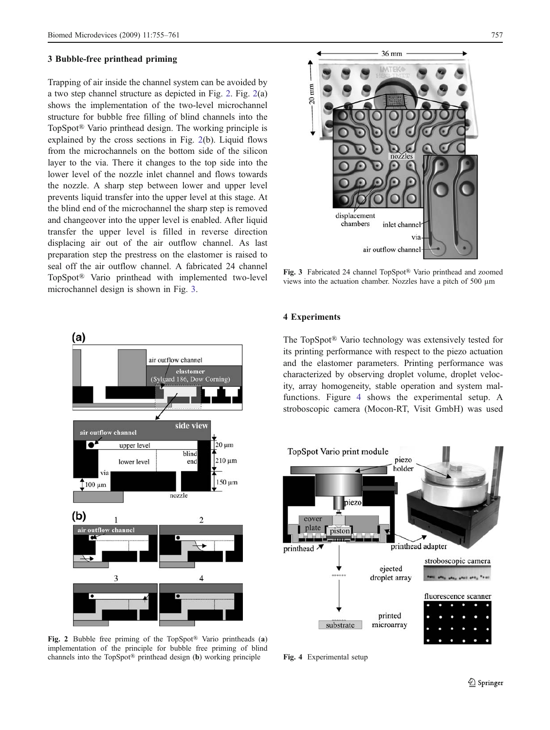## 3 Bubble-free printhead priming

Trapping of air inside the channel system can be avoided by a two step channel structure as depicted in Fig. 2. Fig. 2(a) shows the implementation of the two-level microchannel structure for bubble free filling of blind channels into the TopSpot® Vario printhead design. The working principle is explained by the cross sections in Fig. 2(b). Liquid flows from the microchannels on the bottom side of the silicon layer to the via. There it changes to the top side into the lower level of the nozzle inlet channel and flows towards the nozzle. A sharp step between lower and upper level prevents liquid transfer into the upper level at this stage. At the blind end of the microchannel the sharp step is removed and changeover into the upper level is enabled. After liquid transfer the upper level is filled in reverse direction displacing air out of the air outflow channel. As last preparation step the prestress on the elastomer is raised to seal off the air outflow channel. A fabricated 24 channel TopSpot® Vario printhead with implemented two-level microchannel design is shown in Fig. 3.



Fig. 2 Bubble free priming of the TopSpot® Vario printheads (a) implementation of the principle for bubble free priming of blind channels into the TopSpot® printhead design (b) working principle



Fig. 3 Fabricated 24 channel TopSpot® Vario printhead and zoomed views into the actuation chamber. Nozzles have a pitch of 500 µm

## 4 Experiments

The TopSpot® Vario technology was extensively tested for its printing performance with respect to the piezo actuation and the elastomer parameters. Printing performance was characterized by observing droplet volume, droplet velocity, array homogeneity, stable operation and system malfunctions. Figure 4 shows the experimental setup. A stroboscopic camera (Mocon-RT, Visit GmbH) was used



Fig. 4 Experimental setup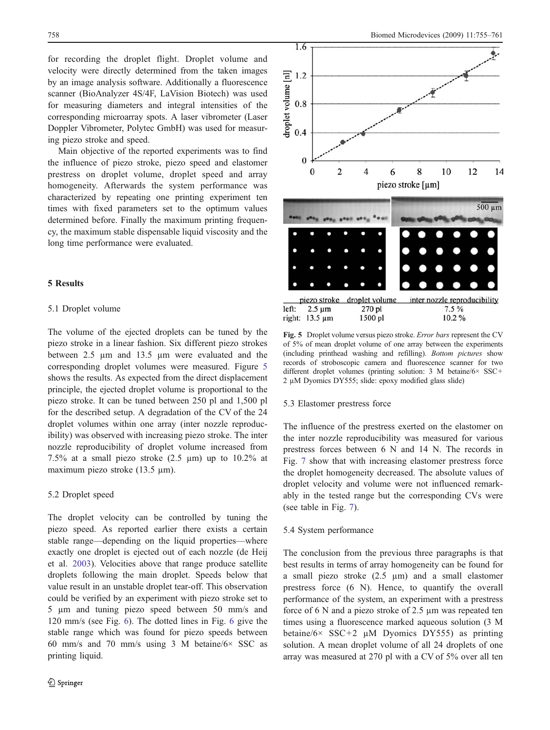for recording the droplet flight. Droplet volume and velocity were directly determined from the taken images by an image analysis software. Additionally a fluorescence scanner (BioAnalyzer 4S/4F, LaVision Biotech) was used for measuring diameters and integral intensities of the corresponding microarray spots. A laser vibrometer (Laser Doppler Vibrometer, Polytec GmbH) was used for measuring piezo stroke and speed.

Main objective of the reported experiments was to find the influence of piezo stroke, piezo speed and elastomer prestress on droplet volume, droplet speed and array homogeneity. Afterwards the system performance was characterized by repeating one printing experiment ten times with fixed parameters set to the optimum values determined before. Finally the maximum printing frequency, the maximum stable dispensable liquid viscosity and the long time performance were evaluated.

# 5 Results

## 5.1 Droplet volume

The volume of the ejected droplets can be tuned by the piezo stroke in a linear fashion. Six different piezo strokes between 2.5 µm and 13.5 µm were evaluated and the corresponding droplet volumes were measured. Figure 5 shows the results. As expected from the direct displacement principle, the ejected droplet volume is proportional to the piezo stroke. It can be tuned between 250 pl and 1,500 pl for the described setup. A degradation of the CV of the 24 droplet volumes within one array (inter nozzle reproducibility) was observed with increasing piezo stroke. The inter nozzle reproducibility of droplet volume increased from 7.5% at a small piezo stroke  $(2.5 \mu m)$  up to 10.2% at maximum piezo stroke (13.5 µm).

## 5.2 Droplet speed

The droplet velocity can be controlled by tuning the piezo speed. As reported earlier there exists a certain stable range—depending on the liquid properties—where exactly one droplet is ejected out of each nozzle (de Heij et al. [2003\)](#page-6-0). Velocities above that range produce satellite droplets following the main droplet. Speeds below that value result in an unstable droplet tear-off. This observation could be verified by an experiment with piezo stroke set to 5 µm and tuning piezo speed between 50 mm/s and 120 mm/s (see Fig. [6](#page-4-0)). The dotted lines in Fig. [6](#page-4-0) give the stable range which was found for piezo speeds between 60 mm/s and 70 mm/s using 3 M betaine/6× SSC as printing liquid.



Fig. 5 Droplet volume versus piezo stroke. Error bars represent the CV of 5% of mean droplet volume of one array between the experiments (including printhead washing and refilling). Bottom pictures show records of stroboscopic camera and fluorescence scanner for two different droplet volumes (printing solution: 3 M betaine/6× SSC+ 2 µM Dyomics DY555; slide: epoxy modified glass slide)

#### 5.3 Elastomer prestress force

The influence of the prestress exerted on the elastomer on the inter nozzle reproducibility was measured for various prestress forces between 6 N and 14 N. The records in Fig. [7](#page-4-0) show that with increasing elastomer prestress force the droplet homogeneity decreased. The absolute values of droplet velocity and volume were not influenced remarkably in the tested range but the corresponding CVs were (see table in Fig. [7](#page-4-0)).

# 5.4 System performance

The conclusion from the previous three paragraphs is that best results in terms of array homogeneity can be found for a small piezo stroke  $(2.5 \mu m)$  and a small elastomer prestress force (6 N). Hence, to quantify the overall performance of the system, an experiment with a prestress force of 6 N and a piezo stroke of 2.5 µm was repeated ten times using a fluorescence marked aqueous solution (3 M betaine/6 $\times$  SSC+2 µM Dyomics DY555) as printing solution. A mean droplet volume of all 24 droplets of one array was measured at 270 pl with a CV of 5% over all ten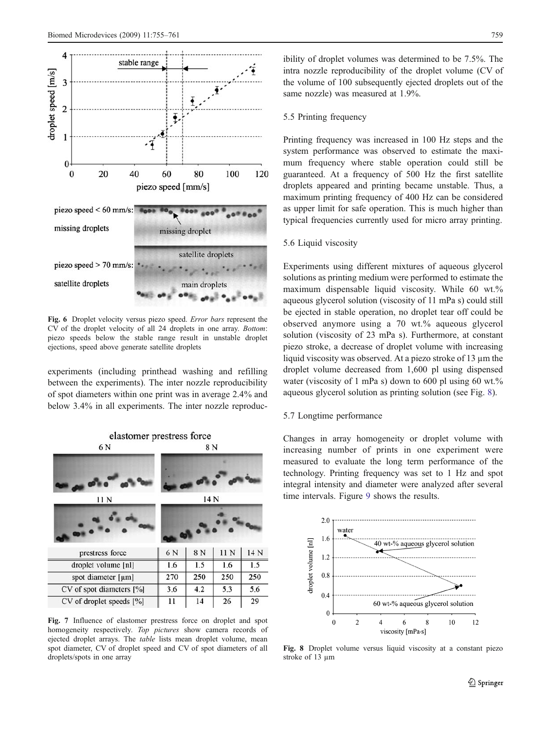<span id="page-4-0"></span>

Fig. 6 Droplet velocity versus piezo speed. Error bars represent the CV of the droplet velocity of all 24 droplets in one array. Bottom: piezo speeds below the stable range result in unstable droplet ejections, speed above generate satellite droplets

experiments (including printhead washing and refilling between the experiments). The inter nozzle reproducibility of spot diameters within one print was in average 2.4% and below 3.4% in all experiments. The inter nozzle reproduc-



Fig. 7 Influence of elastomer prestress force on droplet and spot homogeneity respectively. Top pictures show camera records of ejected droplet arrays. The table lists mean droplet volume, mean spot diameter, CV of droplet speed and CV of spot diameters of all droplets/spots in one array

ibility of droplet volumes was determined to be 7.5%. The intra nozzle reproducibility of the droplet volume (CV of the volume of 100 subsequently ejected droplets out of the same nozzle) was measured at 1.9%.

#### 5.5 Printing frequency

Printing frequency was increased in 100 Hz steps and the system performance was observed to estimate the maximum frequency where stable operation could still be guaranteed. At a frequency of 500 Hz the first satellite droplets appeared and printing became unstable. Thus, a maximum printing frequency of 400 Hz can be considered as upper limit for safe operation. This is much higher than typical frequencies currently used for micro array printing.

# 5.6 Liquid viscosity

Experiments using different mixtures of aqueous glycerol solutions as printing medium were performed to estimate the maximum dispensable liquid viscosity. While 60 wt.% aqueous glycerol solution (viscosity of 11 mPa s) could still be ejected in stable operation, no droplet tear off could be observed anymore using a 70 wt.% aqueous glycerol solution (viscosity of 23 mPa s). Furthermore, at constant piezo stroke, a decrease of droplet volume with increasing liquid viscosity was observed. At a piezo stroke of 13 µm the droplet volume decreased from 1,600 pl using dispensed water (viscosity of 1 mPa s) down to 600 pl using 60 wt.% aqueous glycerol solution as printing solution (see Fig. 8).

## 5.7 Longtime performance

Changes in array homogeneity or droplet volume with increasing number of prints in one experiment were measured to evaluate the long term performance of the technology. Printing frequency was set to 1 Hz and spot integral intensity and diameter were analyzed after several time intervals. Figure [9](#page-5-0) shows the results.



Fig. 8 Droplet volume versus liquid viscosity at a constant piezo stroke of 13 µm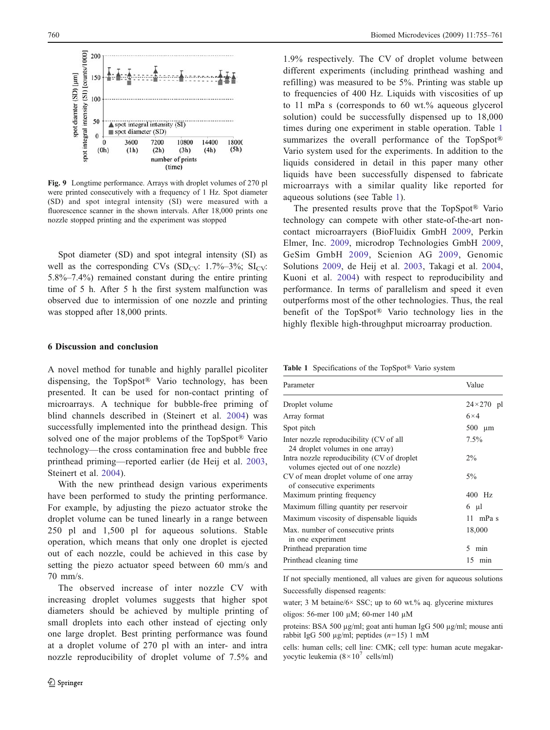<span id="page-5-0"></span>

Fig. 9 Longtime performance. Arrays with droplet volumes of 270 pl were printed consecutively with a frequency of 1 Hz. Spot diameter (SD) and spot integral intensity (SI) were measured with a fluorescence scanner in the shown intervals. After 18,000 prints one nozzle stopped printing and the experiment was stopped

Spot diameter (SD) and spot integral intensity (SI) as well as the corresponding CVs  $(SD_{CV}: 1.7\% - 3\%; SL_{CV}:$ 5.8%–7.4%) remained constant during the entire printing time of 5 h. After 5 h the first system malfunction was observed due to intermission of one nozzle and printing was stopped after 18,000 prints.

## 6 Discussion and conclusion

A novel method for tunable and highly parallel picoliter dispensing, the TopSpot® Vario technology, has been presented. It can be used for non-contact printing of microarrays. A technique for bubble-free priming of blind channels described in (Steinert et al. [2004\)](#page-6-0) was successfully implemented into the printhead design. This solved one of the major problems of the TopSpot® Vario technology—the cross contamination free and bubble free printhead priming—reported earlier (de Heij et al. [2003](#page-6-0), Steinert et al. [2004](#page-6-0)).

With the new printhead design various experiments have been performed to study the printing performance. For example, by adjusting the piezo actuator stroke the droplet volume can be tuned linearly in a range between 250 pl and 1,500 pl for aqueous solutions. Stable operation, which means that only one droplet is ejected out of each nozzle, could be achieved in this case by setting the piezo actuator speed between 60 mm/s and 70 mm/s.

The observed increase of inter nozzle CV with increasing droplet volumes suggests that higher spot diameters should be achieved by multiple printing of small droplets into each other instead of ejecting only one large droplet. Best printing performance was found at a droplet volume of 270 pl with an inter- and intra nozzle reproducibility of droplet volume of 7.5% and

1.9% respectively. The CV of droplet volume between different experiments (including printhead washing and refilling) was measured to be 5%. Printing was stable up to frequencies of 400 Hz. Liquids with viscosities of up to 11 mPa s (corresponds to 60 wt.% aqueous glycerol solution) could be successfully dispensed up to 18,000 times during one experiment in stable operation. Table 1 summarizes the overall performance of the TopSpot® Vario system used for the experiments. In addition to the liquids considered in detail in this paper many other liquids have been successfully dispensed to fabricate microarrays with a similar quality like reported for aqueous solutions (see Table 1).

The presented results prove that the TopSpot® Vario technology can compete with other state-of-the-art noncontact microarrayers (BioFluidix GmbH [2009](#page-6-0), Perkin Elmer, Inc. [2009](#page-6-0), microdrop Technologies GmbH [2009](#page-6-0), GeSim GmbH [2009,](#page-6-0) Scienion AG [2009,](#page-6-0) Genomic Solutions [2009,](#page-6-0) de Heij et al. [2003,](#page-6-0) Takagi et al. [2004](#page-6-0), Kuoni et al. [2004\)](#page-6-0) with respect to reproducibility and performance. In terms of parallelism and speed it even outperforms most of the other technologies. Thus, the real benefit of the TopSpot® Vario technology lies in the highly flexible high-throughput microarray production.

Table 1 Specifications of the TopSpot® Vario system

| Parameter                                                                          | Value              |
|------------------------------------------------------------------------------------|--------------------|
| Droplet volume                                                                     | $24 \times 270$ pl |
| Array format                                                                       | $6\times4$         |
| Spot pitch                                                                         | $500 \mu m$        |
| Inter nozzle reproducibility (CV of all<br>24 droplet volumes in one array)        | $7.5\%$            |
| Intra nozzle reproducibility (CV of droplet)<br>volumes ejected out of one nozzle) | $2\%$              |
| CV of mean droplet volume of one array<br>of consecutive experiments               | $5\%$              |
| Maximum printing frequency                                                         | 400 Hz             |
| Maximum filling quantity per reservoir                                             | $6 \mu l$          |
| Maximum viscosity of dispensable liquids                                           | 11 mPa s           |
| Max. number of consecutive prints<br>in one experiment                             | 18,000             |
| Printhead preparation time                                                         | 5<br>min           |
| Printhead cleaning time                                                            | $15$ min           |

If not specially mentioned, all values are given for aqueous solutions Successfully dispensed reagents:

water; 3 M betaine/6× SSC; up to 60 wt.% aq. glycerine mixtures

oligos: 56-mer 100 µM; 60-mer 140 µM

proteins: BSA 500 µg/ml; goat anti human IgG 500 µg/ml; mouse anti rabbit IgG 500 µg/ml; peptides  $(n=15)$  1 mM

cells: human cells; cell line: CMK; cell type: human acute megakaryocytic leukemia  $(8 \times 10^7 \text{ cells/ml})$